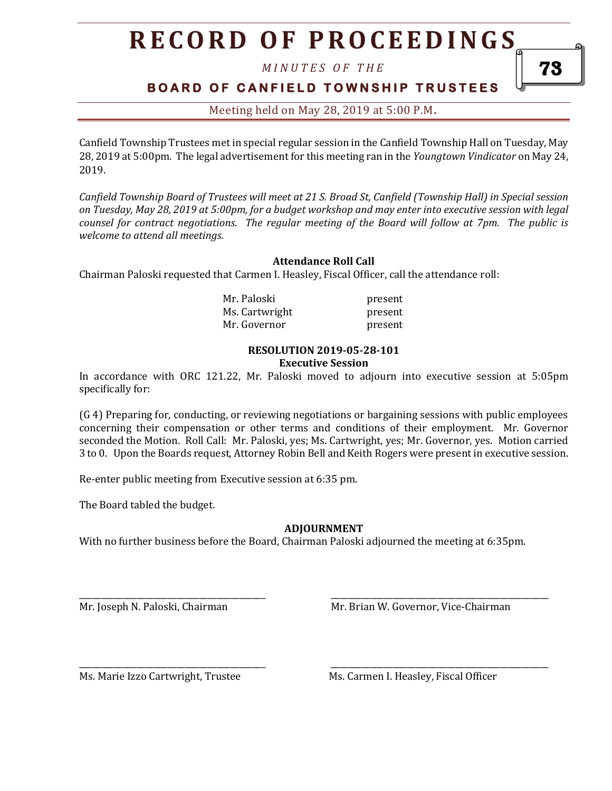# **R E C O R D O F P R O C E E D I N GS**

*M I N U T E S O F T H E* 

## **BOARD OF CANFIELD TOWNSHIP TRUSTEES**

Meeting held on May 28, 2019 at 5:00 P.M**.**

Canfield Township Trustees met in special regular session in the Canfield Township Hall on Tuesday, May 28, 2019 at 5:00pm. The legal advertisement for this meeting ran in the *Youngtown Vindicator* on May 24, 2019.

*Canfield Township Board of Trustees will meet at 21 S. Broad St, Canfield (Township Hall) in Special session on Tuesday, May 28, 2019 at 5:00pm, for a budget workshop and may enter into executive session with legal counsel for contract negotiations. The regular meeting of the Board will follow at 7pm. The public is welcome to attend all meetings.*

### **Attendance Roll Call**

Chairman Paloski requested that Carmen I. Heasley, Fiscal Officer, call the attendance roll:

| Mr. Paloski    | present |
|----------------|---------|
| Ms. Cartwright | present |
| Mr. Governor   | present |

#### **RESOLUTION 2019-05-28-101 Executive Session**

In accordance with ORC 121.22, Mr. Paloski moved to adjourn into executive session at 5:05pm specifically for:

(G 4) Preparing for, conducting, or reviewing negotiations or bargaining sessions with public employees concerning their compensation or other terms and conditions of their employment. Mr. Governor seconded the Motion. Roll Call: Mr. Paloski, yes; Ms. Cartwright, yes; Mr. Governor, yes. Motion carried 3 to 0. Upon the Boards request, Attorney Robin Bell and Keith Rogers were present in executive session.

Re-enter public meeting from Executive session at 6:35 pm.

The Board tabled the budget.

### **ADJOURNMENT**

With no further business before the Board, Chairman Paloski adjourned the meeting at 6:35pm.

\_\_\_\_\_\_\_\_\_\_\_\_\_\_\_\_\_\_\_\_\_\_\_\_\_\_\_\_\_\_\_\_\_\_\_\_\_\_\_\_\_\_ \_\_\_\_\_\_\_\_\_\_\_\_\_\_\_\_\_\_\_\_\_\_\_\_\_\_\_\_\_\_\_\_\_\_\_\_\_\_\_\_\_\_\_\_\_\_\_\_\_

\_\_\_\_\_\_\_\_\_\_\_\_\_\_\_\_\_\_\_\_\_\_\_\_\_\_\_\_\_\_\_\_\_\_\_\_\_\_\_\_\_\_ \_\_\_\_\_\_\_\_\_\_\_\_\_\_\_\_\_\_\_\_\_\_\_\_\_\_\_\_\_\_\_\_\_\_\_\_\_\_\_\_\_\_\_\_\_\_\_\_\_

Mr. Joseph N. Paloski, Chairman Mr. Brian W. Governor, Vice-Chairman

Ms. Marie Izzo Cartwright, Trustee Ms. Carmen I. Heasley, Fiscal Officer

73